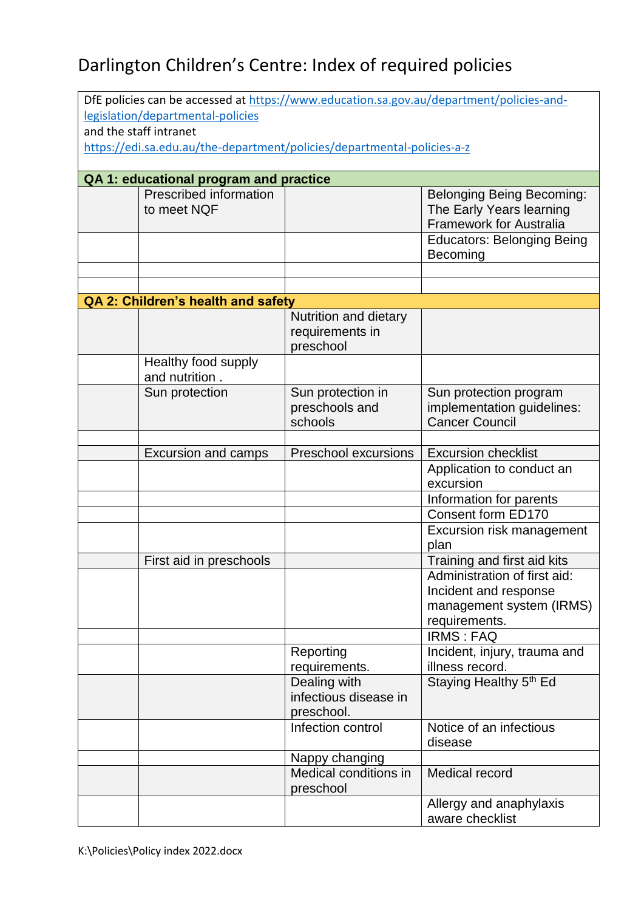| legislation/departmental-policies<br>and the staff intranet<br>https://edi.sa.edu.au/the-department/policies/departmental-policies-a-z<br>QA 1: educational program and practice<br>Prescribed information<br><b>Belonging Being Becoming:</b><br>to meet NQF<br>The Early Years learning<br><b>Framework for Australia</b><br><b>Educators: Belonging Being</b><br>Becoming<br>QA 2: Children's health and safety<br>Nutrition and dietary<br>requirements in<br>preschool<br>Healthy food supply<br>and nutrition.<br>Sun protection<br>Sun protection in<br>Sun protection program<br>preschools and<br>implementation guidelines:<br>schools<br><b>Cancer Council</b><br><b>Preschool excursions</b><br><b>Excursion checklist</b><br><b>Excursion and camps</b><br>Application to conduct an<br>excursion<br>Information for parents<br>Consent form ED170<br>Excursion risk management<br>plan<br>Training and first aid kits<br>First aid in preschools<br>Administration of first aid:<br>Incident and response<br>management system (IRMS)<br>requirements.<br><b>IRMS: FAQ</b><br>Incident, injury, trauma and<br>Reporting<br>requirements.<br>illness record.<br>Staying Healthy 5 <sup>th</sup> Ed<br>Dealing with<br>infectious disease in<br>preschool.<br>Infection control<br>Notice of an infectious<br>disease<br>Nappy changing<br>Medical conditions in<br>Medical record<br>preschool<br>Allergy and anaphylaxis |  | DfE policies can be accessed at https://www.education.sa.gov.au/department/policies-and- |  |                 |  |  |  |  |
|----------------------------------------------------------------------------------------------------------------------------------------------------------------------------------------------------------------------------------------------------------------------------------------------------------------------------------------------------------------------------------------------------------------------------------------------------------------------------------------------------------------------------------------------------------------------------------------------------------------------------------------------------------------------------------------------------------------------------------------------------------------------------------------------------------------------------------------------------------------------------------------------------------------------------------------------------------------------------------------------------------------------------------------------------------------------------------------------------------------------------------------------------------------------------------------------------------------------------------------------------------------------------------------------------------------------------------------------------------------------------------------------------------------------------------------|--|------------------------------------------------------------------------------------------|--|-----------------|--|--|--|--|
|                                                                                                                                                                                                                                                                                                                                                                                                                                                                                                                                                                                                                                                                                                                                                                                                                                                                                                                                                                                                                                                                                                                                                                                                                                                                                                                                                                                                                                        |  |                                                                                          |  |                 |  |  |  |  |
|                                                                                                                                                                                                                                                                                                                                                                                                                                                                                                                                                                                                                                                                                                                                                                                                                                                                                                                                                                                                                                                                                                                                                                                                                                                                                                                                                                                                                                        |  |                                                                                          |  |                 |  |  |  |  |
|                                                                                                                                                                                                                                                                                                                                                                                                                                                                                                                                                                                                                                                                                                                                                                                                                                                                                                                                                                                                                                                                                                                                                                                                                                                                                                                                                                                                                                        |  |                                                                                          |  |                 |  |  |  |  |
|                                                                                                                                                                                                                                                                                                                                                                                                                                                                                                                                                                                                                                                                                                                                                                                                                                                                                                                                                                                                                                                                                                                                                                                                                                                                                                                                                                                                                                        |  |                                                                                          |  |                 |  |  |  |  |
|                                                                                                                                                                                                                                                                                                                                                                                                                                                                                                                                                                                                                                                                                                                                                                                                                                                                                                                                                                                                                                                                                                                                                                                                                                                                                                                                                                                                                                        |  |                                                                                          |  |                 |  |  |  |  |
|                                                                                                                                                                                                                                                                                                                                                                                                                                                                                                                                                                                                                                                                                                                                                                                                                                                                                                                                                                                                                                                                                                                                                                                                                                                                                                                                                                                                                                        |  |                                                                                          |  |                 |  |  |  |  |
|                                                                                                                                                                                                                                                                                                                                                                                                                                                                                                                                                                                                                                                                                                                                                                                                                                                                                                                                                                                                                                                                                                                                                                                                                                                                                                                                                                                                                                        |  |                                                                                          |  |                 |  |  |  |  |
|                                                                                                                                                                                                                                                                                                                                                                                                                                                                                                                                                                                                                                                                                                                                                                                                                                                                                                                                                                                                                                                                                                                                                                                                                                                                                                                                                                                                                                        |  |                                                                                          |  |                 |  |  |  |  |
|                                                                                                                                                                                                                                                                                                                                                                                                                                                                                                                                                                                                                                                                                                                                                                                                                                                                                                                                                                                                                                                                                                                                                                                                                                                                                                                                                                                                                                        |  |                                                                                          |  |                 |  |  |  |  |
|                                                                                                                                                                                                                                                                                                                                                                                                                                                                                                                                                                                                                                                                                                                                                                                                                                                                                                                                                                                                                                                                                                                                                                                                                                                                                                                                                                                                                                        |  |                                                                                          |  |                 |  |  |  |  |
|                                                                                                                                                                                                                                                                                                                                                                                                                                                                                                                                                                                                                                                                                                                                                                                                                                                                                                                                                                                                                                                                                                                                                                                                                                                                                                                                                                                                                                        |  |                                                                                          |  |                 |  |  |  |  |
|                                                                                                                                                                                                                                                                                                                                                                                                                                                                                                                                                                                                                                                                                                                                                                                                                                                                                                                                                                                                                                                                                                                                                                                                                                                                                                                                                                                                                                        |  |                                                                                          |  |                 |  |  |  |  |
|                                                                                                                                                                                                                                                                                                                                                                                                                                                                                                                                                                                                                                                                                                                                                                                                                                                                                                                                                                                                                                                                                                                                                                                                                                                                                                                                                                                                                                        |  |                                                                                          |  |                 |  |  |  |  |
|                                                                                                                                                                                                                                                                                                                                                                                                                                                                                                                                                                                                                                                                                                                                                                                                                                                                                                                                                                                                                                                                                                                                                                                                                                                                                                                                                                                                                                        |  |                                                                                          |  |                 |  |  |  |  |
|                                                                                                                                                                                                                                                                                                                                                                                                                                                                                                                                                                                                                                                                                                                                                                                                                                                                                                                                                                                                                                                                                                                                                                                                                                                                                                                                                                                                                                        |  |                                                                                          |  |                 |  |  |  |  |
|                                                                                                                                                                                                                                                                                                                                                                                                                                                                                                                                                                                                                                                                                                                                                                                                                                                                                                                                                                                                                                                                                                                                                                                                                                                                                                                                                                                                                                        |  |                                                                                          |  |                 |  |  |  |  |
|                                                                                                                                                                                                                                                                                                                                                                                                                                                                                                                                                                                                                                                                                                                                                                                                                                                                                                                                                                                                                                                                                                                                                                                                                                                                                                                                                                                                                                        |  |                                                                                          |  |                 |  |  |  |  |
|                                                                                                                                                                                                                                                                                                                                                                                                                                                                                                                                                                                                                                                                                                                                                                                                                                                                                                                                                                                                                                                                                                                                                                                                                                                                                                                                                                                                                                        |  |                                                                                          |  |                 |  |  |  |  |
|                                                                                                                                                                                                                                                                                                                                                                                                                                                                                                                                                                                                                                                                                                                                                                                                                                                                                                                                                                                                                                                                                                                                                                                                                                                                                                                                                                                                                                        |  |                                                                                          |  |                 |  |  |  |  |
|                                                                                                                                                                                                                                                                                                                                                                                                                                                                                                                                                                                                                                                                                                                                                                                                                                                                                                                                                                                                                                                                                                                                                                                                                                                                                                                                                                                                                                        |  |                                                                                          |  |                 |  |  |  |  |
|                                                                                                                                                                                                                                                                                                                                                                                                                                                                                                                                                                                                                                                                                                                                                                                                                                                                                                                                                                                                                                                                                                                                                                                                                                                                                                                                                                                                                                        |  |                                                                                          |  |                 |  |  |  |  |
|                                                                                                                                                                                                                                                                                                                                                                                                                                                                                                                                                                                                                                                                                                                                                                                                                                                                                                                                                                                                                                                                                                                                                                                                                                                                                                                                                                                                                                        |  |                                                                                          |  |                 |  |  |  |  |
|                                                                                                                                                                                                                                                                                                                                                                                                                                                                                                                                                                                                                                                                                                                                                                                                                                                                                                                                                                                                                                                                                                                                                                                                                                                                                                                                                                                                                                        |  |                                                                                          |  |                 |  |  |  |  |
|                                                                                                                                                                                                                                                                                                                                                                                                                                                                                                                                                                                                                                                                                                                                                                                                                                                                                                                                                                                                                                                                                                                                                                                                                                                                                                                                                                                                                                        |  |                                                                                          |  |                 |  |  |  |  |
|                                                                                                                                                                                                                                                                                                                                                                                                                                                                                                                                                                                                                                                                                                                                                                                                                                                                                                                                                                                                                                                                                                                                                                                                                                                                                                                                                                                                                                        |  |                                                                                          |  |                 |  |  |  |  |
|                                                                                                                                                                                                                                                                                                                                                                                                                                                                                                                                                                                                                                                                                                                                                                                                                                                                                                                                                                                                                                                                                                                                                                                                                                                                                                                                                                                                                                        |  |                                                                                          |  |                 |  |  |  |  |
|                                                                                                                                                                                                                                                                                                                                                                                                                                                                                                                                                                                                                                                                                                                                                                                                                                                                                                                                                                                                                                                                                                                                                                                                                                                                                                                                                                                                                                        |  |                                                                                          |  |                 |  |  |  |  |
|                                                                                                                                                                                                                                                                                                                                                                                                                                                                                                                                                                                                                                                                                                                                                                                                                                                                                                                                                                                                                                                                                                                                                                                                                                                                                                                                                                                                                                        |  |                                                                                          |  |                 |  |  |  |  |
|                                                                                                                                                                                                                                                                                                                                                                                                                                                                                                                                                                                                                                                                                                                                                                                                                                                                                                                                                                                                                                                                                                                                                                                                                                                                                                                                                                                                                                        |  |                                                                                          |  |                 |  |  |  |  |
|                                                                                                                                                                                                                                                                                                                                                                                                                                                                                                                                                                                                                                                                                                                                                                                                                                                                                                                                                                                                                                                                                                                                                                                                                                                                                                                                                                                                                                        |  |                                                                                          |  |                 |  |  |  |  |
|                                                                                                                                                                                                                                                                                                                                                                                                                                                                                                                                                                                                                                                                                                                                                                                                                                                                                                                                                                                                                                                                                                                                                                                                                                                                                                                                                                                                                                        |  |                                                                                          |  |                 |  |  |  |  |
|                                                                                                                                                                                                                                                                                                                                                                                                                                                                                                                                                                                                                                                                                                                                                                                                                                                                                                                                                                                                                                                                                                                                                                                                                                                                                                                                                                                                                                        |  |                                                                                          |  |                 |  |  |  |  |
|                                                                                                                                                                                                                                                                                                                                                                                                                                                                                                                                                                                                                                                                                                                                                                                                                                                                                                                                                                                                                                                                                                                                                                                                                                                                                                                                                                                                                                        |  |                                                                                          |  |                 |  |  |  |  |
|                                                                                                                                                                                                                                                                                                                                                                                                                                                                                                                                                                                                                                                                                                                                                                                                                                                                                                                                                                                                                                                                                                                                                                                                                                                                                                                                                                                                                                        |  |                                                                                          |  |                 |  |  |  |  |
|                                                                                                                                                                                                                                                                                                                                                                                                                                                                                                                                                                                                                                                                                                                                                                                                                                                                                                                                                                                                                                                                                                                                                                                                                                                                                                                                                                                                                                        |  |                                                                                          |  |                 |  |  |  |  |
|                                                                                                                                                                                                                                                                                                                                                                                                                                                                                                                                                                                                                                                                                                                                                                                                                                                                                                                                                                                                                                                                                                                                                                                                                                                                                                                                                                                                                                        |  |                                                                                          |  |                 |  |  |  |  |
|                                                                                                                                                                                                                                                                                                                                                                                                                                                                                                                                                                                                                                                                                                                                                                                                                                                                                                                                                                                                                                                                                                                                                                                                                                                                                                                                                                                                                                        |  |                                                                                          |  |                 |  |  |  |  |
|                                                                                                                                                                                                                                                                                                                                                                                                                                                                                                                                                                                                                                                                                                                                                                                                                                                                                                                                                                                                                                                                                                                                                                                                                                                                                                                                                                                                                                        |  |                                                                                          |  |                 |  |  |  |  |
|                                                                                                                                                                                                                                                                                                                                                                                                                                                                                                                                                                                                                                                                                                                                                                                                                                                                                                                                                                                                                                                                                                                                                                                                                                                                                                                                                                                                                                        |  |                                                                                          |  |                 |  |  |  |  |
|                                                                                                                                                                                                                                                                                                                                                                                                                                                                                                                                                                                                                                                                                                                                                                                                                                                                                                                                                                                                                                                                                                                                                                                                                                                                                                                                                                                                                                        |  |                                                                                          |  |                 |  |  |  |  |
|                                                                                                                                                                                                                                                                                                                                                                                                                                                                                                                                                                                                                                                                                                                                                                                                                                                                                                                                                                                                                                                                                                                                                                                                                                                                                                                                                                                                                                        |  |                                                                                          |  |                 |  |  |  |  |
|                                                                                                                                                                                                                                                                                                                                                                                                                                                                                                                                                                                                                                                                                                                                                                                                                                                                                                                                                                                                                                                                                                                                                                                                                                                                                                                                                                                                                                        |  |                                                                                          |  |                 |  |  |  |  |
|                                                                                                                                                                                                                                                                                                                                                                                                                                                                                                                                                                                                                                                                                                                                                                                                                                                                                                                                                                                                                                                                                                                                                                                                                                                                                                                                                                                                                                        |  |                                                                                          |  |                 |  |  |  |  |
|                                                                                                                                                                                                                                                                                                                                                                                                                                                                                                                                                                                                                                                                                                                                                                                                                                                                                                                                                                                                                                                                                                                                                                                                                                                                                                                                                                                                                                        |  |                                                                                          |  |                 |  |  |  |  |
|                                                                                                                                                                                                                                                                                                                                                                                                                                                                                                                                                                                                                                                                                                                                                                                                                                                                                                                                                                                                                                                                                                                                                                                                                                                                                                                                                                                                                                        |  |                                                                                          |  |                 |  |  |  |  |
|                                                                                                                                                                                                                                                                                                                                                                                                                                                                                                                                                                                                                                                                                                                                                                                                                                                                                                                                                                                                                                                                                                                                                                                                                                                                                                                                                                                                                                        |  |                                                                                          |  |                 |  |  |  |  |
|                                                                                                                                                                                                                                                                                                                                                                                                                                                                                                                                                                                                                                                                                                                                                                                                                                                                                                                                                                                                                                                                                                                                                                                                                                                                                                                                                                                                                                        |  |                                                                                          |  | aware checklist |  |  |  |  |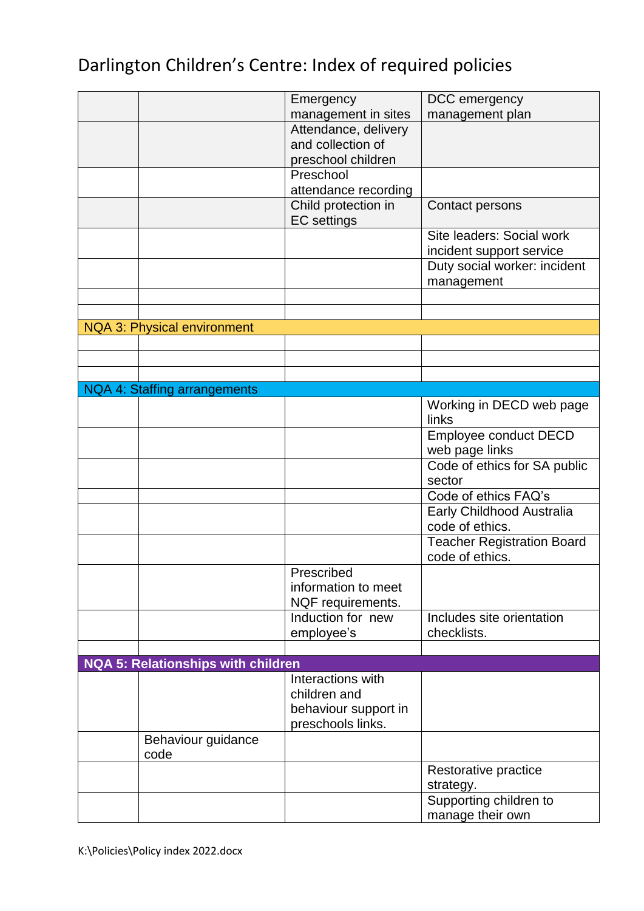|                                           | Emergency            | DCC emergency                     |
|-------------------------------------------|----------------------|-----------------------------------|
|                                           | management in sites  | management plan                   |
|                                           | Attendance, delivery |                                   |
|                                           | and collection of    |                                   |
|                                           | preschool children   |                                   |
|                                           |                      |                                   |
|                                           | Preschool            |                                   |
|                                           | attendance recording |                                   |
|                                           | Child protection in  | Contact persons                   |
|                                           | <b>EC</b> settings   |                                   |
|                                           |                      | Site leaders: Social work         |
|                                           |                      |                                   |
|                                           |                      | incident support service          |
|                                           |                      | Duty social worker: incident      |
|                                           |                      | management                        |
|                                           |                      |                                   |
|                                           |                      |                                   |
| <b>NQA 3: Physical environment</b>        |                      |                                   |
|                                           |                      |                                   |
|                                           |                      |                                   |
|                                           |                      |                                   |
|                                           |                      |                                   |
| NQA 4: Staffing arrangements              |                      |                                   |
|                                           |                      | Working in DECD web page          |
|                                           |                      | links                             |
|                                           |                      | Employee conduct DECD             |
|                                           |                      |                                   |
|                                           |                      | web page links                    |
|                                           |                      | Code of ethics for SA public      |
|                                           |                      | sector                            |
|                                           |                      | Code of ethics FAQ's              |
|                                           |                      | Early Childhood Australia         |
|                                           |                      | code of ethics.                   |
|                                           |                      |                                   |
|                                           |                      | <b>Teacher Registration Board</b> |
|                                           |                      | code of ethics.                   |
|                                           | Prescribed           |                                   |
|                                           | information to meet  |                                   |
|                                           | NQF requirements.    |                                   |
|                                           | Induction for new    | Includes site orientation         |
|                                           | employee's           | checklists.                       |
|                                           |                      |                                   |
|                                           |                      |                                   |
| <b>NQA 5: Relationships with children</b> |                      |                                   |
|                                           | Interactions with    |                                   |
|                                           | children and         |                                   |
|                                           | behaviour support in |                                   |
|                                           | preschools links.    |                                   |
| Behaviour guidance                        |                      |                                   |
|                                           |                      |                                   |
| code                                      |                      |                                   |
|                                           |                      | Restorative practice              |
|                                           |                      | strategy.                         |
|                                           |                      | Supporting children to            |
|                                           |                      | manage their own                  |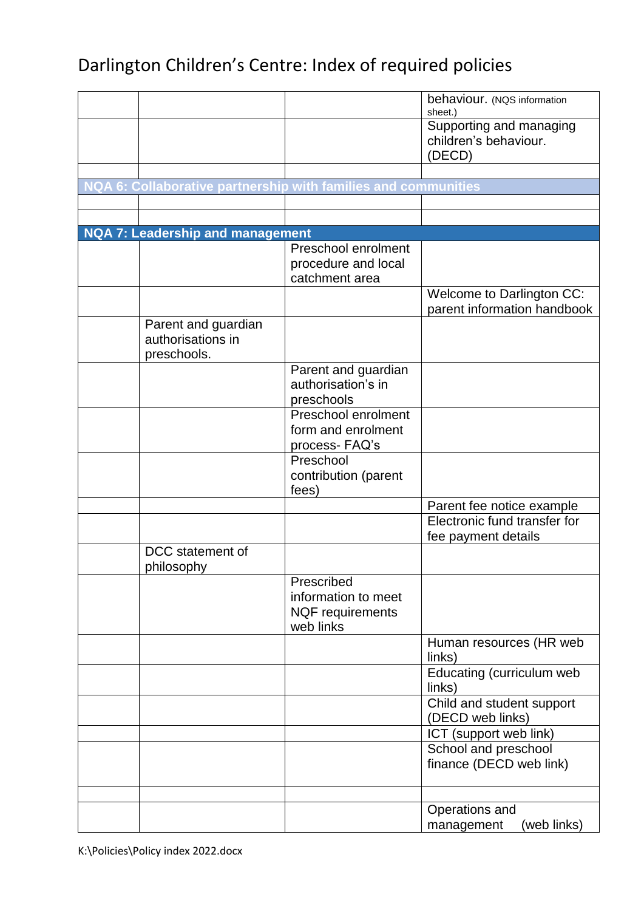|                                                                |                         | behaviour. (NQS information<br>sheet.)                     |
|----------------------------------------------------------------|-------------------------|------------------------------------------------------------|
|                                                                |                         | Supporting and managing<br>children's behaviour.<br>(DECD) |
|                                                                |                         |                                                            |
| NQA 6: Collaborative partnership with families and communities |                         |                                                            |
|                                                                |                         |                                                            |
|                                                                |                         |                                                            |
| <b>NQA 7: Leadership and management</b>                        |                         |                                                            |
|                                                                | Preschool enrolment     |                                                            |
|                                                                | procedure and local     |                                                            |
|                                                                | catchment area          |                                                            |
|                                                                |                         | <b>Welcome to Darlington CC:</b>                           |
|                                                                |                         | parent information handbook                                |
| Parent and guardian                                            |                         |                                                            |
| authorisations in                                              |                         |                                                            |
| preschools.                                                    |                         |                                                            |
|                                                                | Parent and guardian     |                                                            |
|                                                                | authorisation's in      |                                                            |
|                                                                | preschools              |                                                            |
|                                                                | Preschool enrolment     |                                                            |
|                                                                | form and enrolment      |                                                            |
|                                                                | process-FAQ's           |                                                            |
|                                                                | Preschool               |                                                            |
|                                                                | contribution (parent    |                                                            |
|                                                                | fees)                   |                                                            |
|                                                                |                         | Parent fee notice example                                  |
|                                                                |                         | Electronic fund transfer for                               |
|                                                                |                         | fee payment details                                        |
| DCC statement of<br>philosophy                                 |                         |                                                            |
|                                                                | Prescribed              |                                                            |
|                                                                | information to meet     |                                                            |
|                                                                | <b>NQF</b> requirements |                                                            |
|                                                                | web links               |                                                            |
|                                                                |                         | Human resources (HR web                                    |
|                                                                |                         | links)                                                     |
|                                                                |                         | Educating (curriculum web                                  |
|                                                                |                         | links)                                                     |
|                                                                |                         | Child and student support                                  |
|                                                                |                         | (DECD web links)                                           |
|                                                                |                         | ICT (support web link)                                     |
|                                                                |                         | School and preschool                                       |
|                                                                |                         | finance (DECD web link)                                    |
|                                                                |                         |                                                            |
|                                                                |                         | Operations and                                             |
|                                                                |                         | (web links)<br>management                                  |